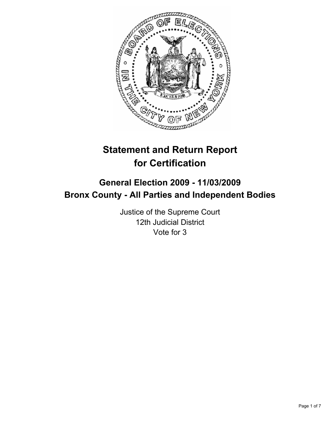

# **Statement and Return Report for Certification**

## **General Election 2009 - 11/03/2009 Bronx County - All Parties and Independent Bodies**

Justice of the Supreme Court 12th Judicial District Vote for 3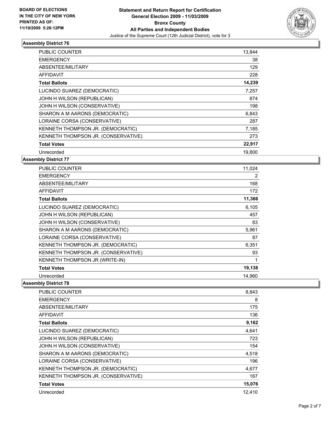

| <b>PUBLIC COUNTER</b>               | 13,844 |
|-------------------------------------|--------|
| <b>EMERGENCY</b>                    | 38     |
| ABSENTEE/MILITARY                   | 129    |
| <b>AFFIDAVIT</b>                    | 228    |
| <b>Total Ballots</b>                | 14,239 |
| LUCINDO SUAREZ (DEMOCRATIC)         | 7,257  |
| JOHN H WILSON (REPUBLICAN)          | 874    |
| JOHN H WILSON (CONSERVATIVE)        | 198    |
| SHARON A M AARONS (DEMOCRATIC)      | 6,843  |
| LORAINE CORSA (CONSERVATIVE)        | 287    |
| KENNETH THOMPSON JR. (DEMOCRATIC)   | 7,185  |
| KENNETH THOMPSON JR. (CONSERVATIVE) | 273    |
| <b>Total Votes</b>                  | 22,917 |
| Unrecorded                          | 19,800 |

#### **Assembly District 77**

| <b>PUBLIC COUNTER</b>               | 11,024 |
|-------------------------------------|--------|
| <b>EMERGENCY</b>                    | 2      |
| ABSENTEE/MILITARY                   | 168    |
| <b>AFFIDAVIT</b>                    | 172    |
| <b>Total Ballots</b>                | 11,366 |
| LUCINDO SUAREZ (DEMOCRATIC)         | 6,105  |
| JOHN H WILSON (REPUBLICAN)          | 457    |
| JOHN H WILSON (CONSERVATIVE)        | 83     |
| SHARON A M AARONS (DEMOCRATIC)      | 5,961  |
| LORAINE CORSA (CONSERVATIVE)        | 87     |
| KENNETH THOMPSON JR. (DEMOCRATIC)   | 6,351  |
| KENNETH THOMPSON JR. (CONSERVATIVE) | 93     |
| KENNETH THOMPSON JR (WRITE-IN)      | 1      |
| <b>Total Votes</b>                  | 19,138 |
| Unrecorded                          | 14,960 |

| <b>PUBLIC COUNTER</b>               | 8,843  |
|-------------------------------------|--------|
| <b>EMERGENCY</b>                    | 8      |
| ABSENTEE/MILITARY                   | 175    |
| AFFIDAVIT                           | 136    |
| <b>Total Ballots</b>                | 9,162  |
| LUCINDO SUAREZ (DEMOCRATIC)         | 4,641  |
| JOHN H WILSON (REPUBLICAN)          | 723    |
| JOHN H WILSON (CONSERVATIVE)        | 154    |
| SHARON A M AARONS (DEMOCRATIC)      | 4,518  |
| LORAINE CORSA (CONSERVATIVE)        | 196    |
| KENNETH THOMPSON JR. (DEMOCRATIC)   | 4,677  |
| KENNETH THOMPSON JR. (CONSERVATIVE) | 167    |
| <b>Total Votes</b>                  | 15,076 |
| Unrecorded                          | 12.410 |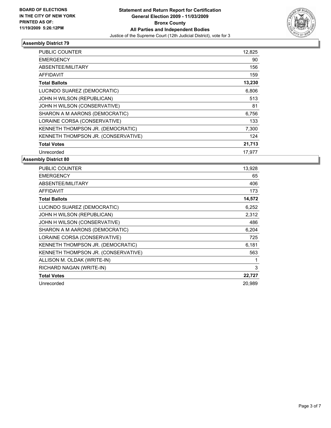

| <b>PUBLIC COUNTER</b>               | 12,825 |
|-------------------------------------|--------|
| <b>EMERGENCY</b>                    | 90     |
| ABSENTEE/MILITARY                   | 156    |
| <b>AFFIDAVIT</b>                    | 159    |
| <b>Total Ballots</b>                | 13,230 |
| LUCINDO SUAREZ (DEMOCRATIC)         | 6,806  |
| JOHN H WILSON (REPUBLICAN)          | 513    |
| JOHN H WILSON (CONSERVATIVE)        | 81     |
| SHARON A M AARONS (DEMOCRATIC)      | 6,756  |
| LORAINE CORSA (CONSERVATIVE)        | 133    |
| KENNETH THOMPSON JR. (DEMOCRATIC)   | 7,300  |
| KENNETH THOMPSON JR. (CONSERVATIVE) | 124    |
| <b>Total Votes</b>                  | 21,713 |
| Unrecorded                          | 17,977 |

| <b>PUBLIC COUNTER</b>               | 13,928 |
|-------------------------------------|--------|
| <b>EMERGENCY</b>                    | 65     |
| ABSENTEE/MILITARY                   | 406    |
| <b>AFFIDAVIT</b>                    | 173    |
| <b>Total Ballots</b>                | 14,572 |
| LUCINDO SUAREZ (DEMOCRATIC)         | 6,252  |
| JOHN H WILSON (REPUBLICAN)          | 2,312  |
| JOHN H WILSON (CONSERVATIVE)        | 486    |
| SHARON A M AARONS (DEMOCRATIC)      | 6,204  |
| LORAINE CORSA (CONSERVATIVE)        | 725    |
| KENNETH THOMPSON JR. (DEMOCRATIC)   | 6,181  |
| KENNETH THOMPSON JR. (CONSERVATIVE) | 563    |
| ALLISON M. OLDAK (WRITE-IN)         | 1      |
| RICHARD NAGAN (WRITE-IN)            | 3      |
| <b>Total Votes</b>                  | 22,727 |
| Unrecorded                          | 20,989 |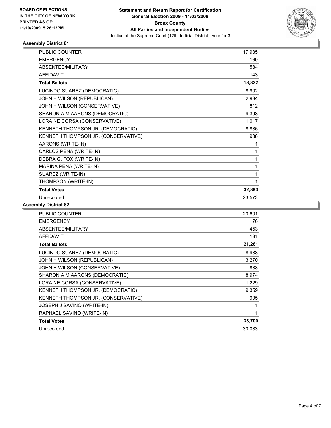

| <b>PUBLIC COUNTER</b>               | 17,935 |
|-------------------------------------|--------|
| <b>EMERGENCY</b>                    | 160    |
| ABSENTEE/MILITARY                   | 584    |
| <b>AFFIDAVIT</b>                    | 143    |
| <b>Total Ballots</b>                | 18,822 |
| LUCINDO SUAREZ (DEMOCRATIC)         | 8,902  |
| JOHN H WILSON (REPUBLICAN)          | 2,934  |
| JOHN H WILSON (CONSERVATIVE)        | 812    |
| SHARON A M AARONS (DEMOCRATIC)      | 9,398  |
| LORAINE CORSA (CONSERVATIVE)        | 1,017  |
| KENNETH THOMPSON JR. (DEMOCRATIC)   | 8,886  |
| KENNETH THOMPSON JR. (CONSERVATIVE) | 938    |
| AARONS (WRITE-IN)                   | 1      |
| CARLOS PENA (WRITE-IN)              | 1      |
| DEBRA G. FOX (WRITE-IN)             | 1      |
| MARINA PENA (WRITE-IN)              | 1      |
| SUAREZ (WRITE-IN)                   | 1      |
| THOMPSON (WRITE-IN)                 | 1      |
| <b>Total Votes</b>                  | 32,893 |
| Unrecorded                          | 23,573 |

| <b>PUBLIC COUNTER</b>               | 20,601 |
|-------------------------------------|--------|
| <b>EMERGENCY</b>                    | 76     |
| ABSENTEE/MILITARY                   | 453    |
| <b>AFFIDAVIT</b>                    | 131    |
| <b>Total Ballots</b>                | 21,261 |
| LUCINDO SUAREZ (DEMOCRATIC)         | 8,988  |
| JOHN H WILSON (REPUBLICAN)          | 3,270  |
| JOHN H WILSON (CONSERVATIVE)        | 883    |
| SHARON A M AARONS (DEMOCRATIC)      | 8,974  |
| LORAINE CORSA (CONSERVATIVE)        | 1,229  |
| KENNETH THOMPSON JR. (DEMOCRATIC)   | 9,359  |
| KENNETH THOMPSON JR. (CONSERVATIVE) | 995    |
| JOSEPH J SAVINO (WRITE-IN)          | 1      |
| RAPHAEL SAVINO (WRITE-IN)           | 1      |
| <b>Total Votes</b>                  | 33,700 |
| Unrecorded                          | 30,083 |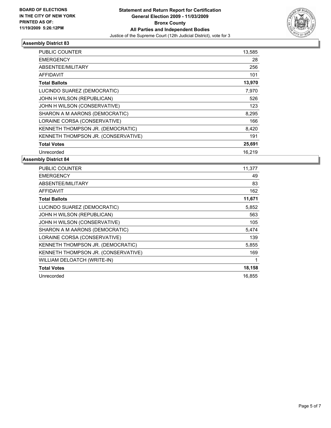

| <b>PUBLIC COUNTER</b>               | 13,585 |
|-------------------------------------|--------|
| <b>EMERGENCY</b>                    | 28     |
| ABSENTEE/MILITARY                   | 256    |
| <b>AFFIDAVIT</b>                    | 101    |
| <b>Total Ballots</b>                | 13,970 |
| LUCINDO SUAREZ (DEMOCRATIC)         | 7,970  |
| JOHN H WILSON (REPUBLICAN)          | 526    |
| JOHN H WILSON (CONSERVATIVE)        | 123    |
| SHARON A M AARONS (DEMOCRATIC)      | 8,295  |
| LORAINE CORSA (CONSERVATIVE)        | 166    |
| KENNETH THOMPSON JR. (DEMOCRATIC)   | 8,420  |
| KENNETH THOMPSON JR. (CONSERVATIVE) | 191    |
| <b>Total Votes</b>                  | 25,691 |
| Unrecorded                          | 16,219 |

| <b>PUBLIC COUNTER</b>               | 11,377 |
|-------------------------------------|--------|
| <b>EMERGENCY</b>                    | 49     |
| ABSENTEE/MILITARY                   | 83     |
| <b>AFFIDAVIT</b>                    | 162    |
| <b>Total Ballots</b>                | 11,671 |
| LUCINDO SUAREZ (DEMOCRATIC)         | 5,852  |
| JOHN H WILSON (REPUBLICAN)          | 563    |
| JOHN H WILSON (CONSERVATIVE)        | 105    |
| SHARON A M AARONS (DEMOCRATIC)      | 5,474  |
| LORAINE CORSA (CONSERVATIVE)        | 139    |
| KENNETH THOMPSON JR. (DEMOCRATIC)   | 5,855  |
| KENNETH THOMPSON JR. (CONSERVATIVE) | 169    |
| WILLIAM DELOATCH (WRITE-IN)         | 1      |
| <b>Total Votes</b>                  | 18,158 |
| Unrecorded                          | 16,855 |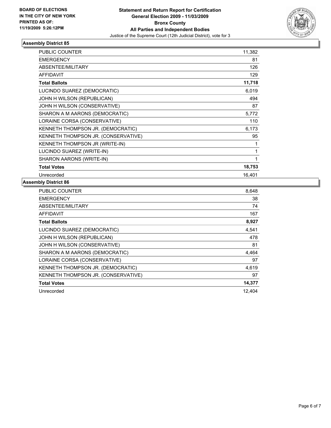

| <b>PUBLIC COUNTER</b>               | 11,382 |
|-------------------------------------|--------|
| <b>EMERGENCY</b>                    | 81     |
| ABSENTEE/MILITARY                   | 126    |
| <b>AFFIDAVIT</b>                    | 129    |
| <b>Total Ballots</b>                | 11,718 |
| LUCINDO SUAREZ (DEMOCRATIC)         | 6,019  |
| JOHN H WILSON (REPUBLICAN)          | 494    |
| JOHN H WILSON (CONSERVATIVE)        | 87     |
| SHARON A M AARONS (DEMOCRATIC)      | 5,772  |
| LORAINE CORSA (CONSERVATIVE)        | 110    |
| KENNETH THOMPSON JR. (DEMOCRATIC)   | 6,173  |
| KENNETH THOMPSON JR. (CONSERVATIVE) | 95     |
| KENNETH THOMPSON JR (WRITE-IN)      | 1      |
| LUCINDO SUAREZ (WRITE-IN)           | 1      |
| SHARON AARONS (WRITE-IN)            | 1      |
| <b>Total Votes</b>                  | 18,753 |
| Unrecorded                          | 16.401 |

| <b>PUBLIC COUNTER</b>               | 8,648  |
|-------------------------------------|--------|
| <b>EMERGENCY</b>                    | 38     |
| ABSENTEE/MILITARY                   | 74     |
| AFFIDAVIT                           | 167    |
| <b>Total Ballots</b>                | 8,927  |
| LUCINDO SUAREZ (DEMOCRATIC)         | 4,541  |
| JOHN H WILSON (REPUBLICAN)          | 478    |
| JOHN H WILSON (CONSERVATIVE)        | 81     |
| SHARON A M AARONS (DEMOCRATIC)      | 4,464  |
| LORAINE CORSA (CONSERVATIVE)        | 97     |
| KENNETH THOMPSON JR. (DEMOCRATIC)   | 4,619  |
| KENNETH THOMPSON JR. (CONSERVATIVE) | 97     |
| <b>Total Votes</b>                  | 14,377 |
| Unrecorded                          | 12.404 |